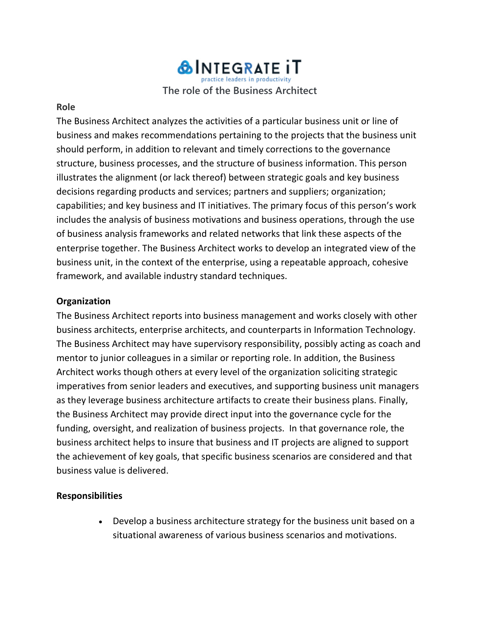## **&INTEGRATE IT** tice leaders in productivity **The role of the Business Architect**

#### **Role**

The Business Architect analyzes the activities of a particular business unit or line of business and makes recommendations pertaining to the projects that the business unit should perform, in addition to relevant and timely corrections to the governance structure, business processes, and the structure of business information. This person illustrates the alignment (or lack thereof) between strategic goals and key business decisions regarding products and services; partners and suppliers; organization; capabilities; and key business and IT initiatives. The primary focus of this person's work includes the analysis of business motivations and business operations, through the use of business analysis frameworks and related networks that link these aspects of the enterprise together. The Business Architect works to develop an integrated view of the business unit, in the context of the enterprise, using a repeatable approach, cohesive framework, and available industry standard techniques.

## **Organization**

The Business Architect reports into business management and works closely with other business architects, enterprise architects, and counterparts in Information Technology. The Business Architect may have supervisory responsibility, possibly acting as coach and mentor to junior colleagues in a similar or reporting role. In addition, the Business Architect works though others at every level of the organization soliciting strategic imperatives from senior leaders and executives, and supporting business unit managers as they leverage business architecture artifacts to create their business plans. Finally, the Business Architect may provide direct input into the governance cycle for the funding, oversight, and realization of business projects. In that governance role, the business architect helps to insure that business and IT projects are aligned to support the achievement of key goals, that specific business scenarios are considered and that business value is delivered.

## **Responsibilities**

• Develop a business architecture strategy for the business unit based on a situational awareness of various business scenarios and motivations.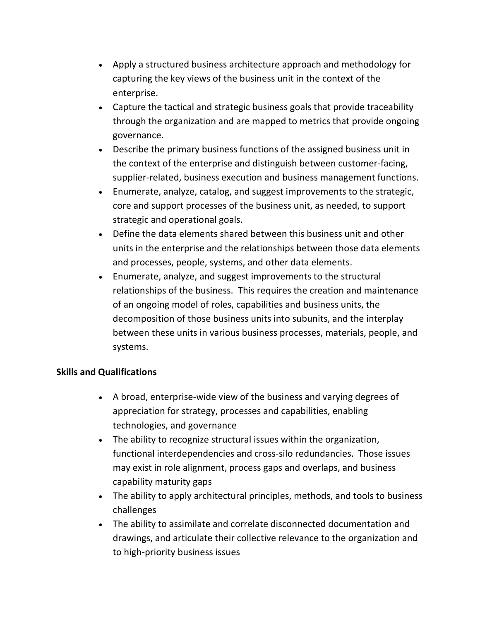- Apply a structured business architecture approach and methodology for capturing the key views of the business unit in the context of the enterprise.
- Capture the tactical and strategic business goals that provide traceability through the organization and are mapped to metrics that provide ongoing governance.
- Describe the primary business functions of the assigned business unit in the context of the enterprise and distinguish between customer-facing, supplier-related, business execution and business management functions.
- Enumerate, analyze, catalog, and suggest improvements to the strategic, core and support processes of the business unit, as needed, to support strategic and operational goals.
- Define the data elements shared between this business unit and other units in the enterprise and the relationships between those data elements and processes, people, systems, and other data elements.
- Enumerate, analyze, and suggest improvements to the structural relationships of the business. This requires the creation and maintenance of an ongoing model of roles, capabilities and business units, the decomposition of those business units into subunits, and the interplay between these units in various business processes, materials, people, and systems.

## **Skills and Qualifications**

- A broad, enterprise-wide view of the business and varying degrees of appreciation for strategy, processes and capabilities, enabling technologies, and governance
- The ability to recognize structural issues within the organization, functional interdependencies and cross-silo redundancies. Those issues may exist in role alignment, process gaps and overlaps, and business capability maturity gaps
- The ability to apply architectural principles, methods, and tools to business challenges
- The ability to assimilate and correlate disconnected documentation and drawings, and articulate their collective relevance to the organization and to high-priority business issues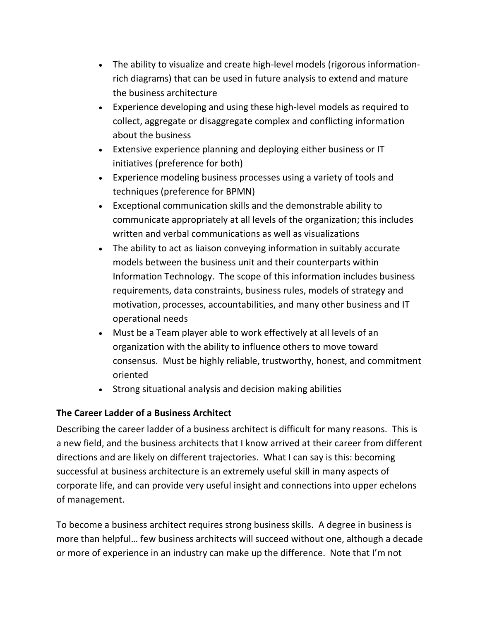- The ability to visualize and create high-level models (rigorous informationrich diagrams) that can be used in future analysis to extend and mature the business architecture
- Experience developing and using these high-level models as required to collect, aggregate or disaggregate complex and conflicting information about the business
- Extensive experience planning and deploying either business or IT initiatives (preference for both)
- Experience modeling business processes using a variety of tools and techniques (preference for BPMN)
- Exceptional communication skills and the demonstrable ability to communicate appropriately at all levels of the organization; this includes written and verbal communications as well as visualizations
- The ability to act as liaison conveying information in suitably accurate models between the business unit and their counterparts within Information Technology. The scope of this information includes business requirements, data constraints, business rules, models of strategy and motivation, processes, accountabilities, and many other business and IT operational needs
- Must be a Team player able to work effectively at all levels of an organization with the ability to influence others to move toward consensus. Must be highly reliable, trustworthy, honest, and commitment oriented
- Strong situational analysis and decision making abilities

# **The Career Ladder of a Business Architect**

Describing the career ladder of a business architect is difficult for many reasons. This is a new field, and the business architects that I know arrived at their career from different directions and are likely on different trajectories. What I can say is this: becoming successful at business architecture is an extremely useful skill in many aspects of corporate life, and can provide very useful insight and connections into upper echelons of management.

To become a business architect requires strong business skills. A degree in business is more than helpful… few business architects will succeed without one, although a decade or more of experience in an industry can make up the difference. Note that I'm not